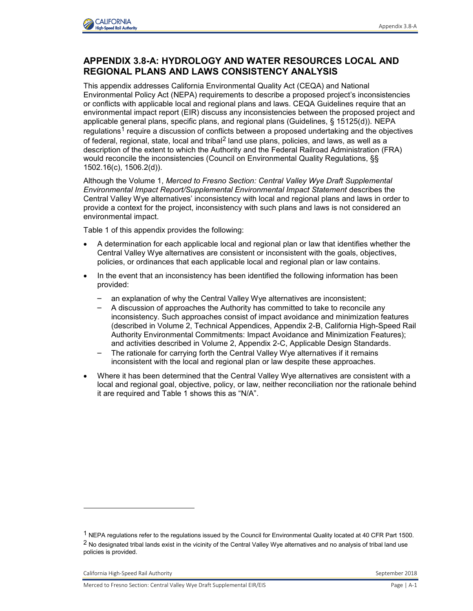

## **APPENDIX 3.8-A: HYDROLOGY AND WATER RESOURCES LOCAL AND REGIONAL PLANS AND LAWS CONSISTENCY ANALYSIS**

This appendix addresses California Environmental Quality Act (CEQA) and National Environmental Policy Act (NEPA) requirements to describe a proposed project's inconsistencies or conflicts with applicable local and regional plans and laws. CEQA Guidelines require that an environmental impact report (EIR) discuss any inconsistencies between the proposed project and applicable general plans, specific plans, and regional plans (Guidelines, § 15125(d)). NEPA regulations<sup>1</sup> require a discussion of conflicts between a proposed undertaking and the objectives of federal, regional, state, local and tribal<sup>2</sup> land use plans, policies, and laws, as well as a description of the extent to which the Authority and the Federal Railroad Administration (FRA) would reconcile the inconsistencies (Council on Environmental Quality Regulations, §§ 1502.16(c), 1506.2(d)).

Although the Volume 1, *Merced to Fresno Section: Central Valley Wye Draft Supplemental Environmental Impact Report/Supplemental Environmental Impact Statement* describes the Central Valley Wye alternatives' inconsistency with local and regional plans and laws in order to provide a context for the project, inconsistency with such plans and laws is not considered an environmental impact.

Table 1 of this appendix provides the following:

- A determination for each applicable local and regional plan or law that identifies whether the Central Valley Wye alternatives are consistent or inconsistent with the goals, objectives, policies, or ordinances that each applicable local and regional plan or law contains.
- In the event that an inconsistency has been identified the following information has been provided:
	- an explanation of why the Central Valley Wye alternatives are inconsistent;
	- A discussion of approaches the Authority has committed to take to reconcile any inconsistency. Such approaches consist of impact avoidance and minimization features (described in Volume 2, Technical Appendices, Appendix 2-B, California High-Speed Rail Authority Environmental Commitments: Impact Avoidance and Minimization Features); and activities described in Volume 2, Appendix 2-C, Applicable Design Standards.
	- The rationale for carrying forth the Central Valley Wye alternatives if it remains inconsistent with the local and regional plan or law despite these approaches.
- Where it has been determined that the Central Valley Wye alternatives are consistent with a local and regional goal, objective, policy, or law, neither reconciliation nor the rationale behind it are required and Table 1 shows this as "N/A".

-

<sup>1</sup> NEPA regulations refer to the regulations issued by the Council for Environmental Quality located at 40 CFR Part 1500.  $2$  No designated tribal lands exist in the vicinity of the Central Valley Wye alternatives and no analysis of tribal land use policies is provided.

California High-Speed Rail Authority **September 2018** September 2018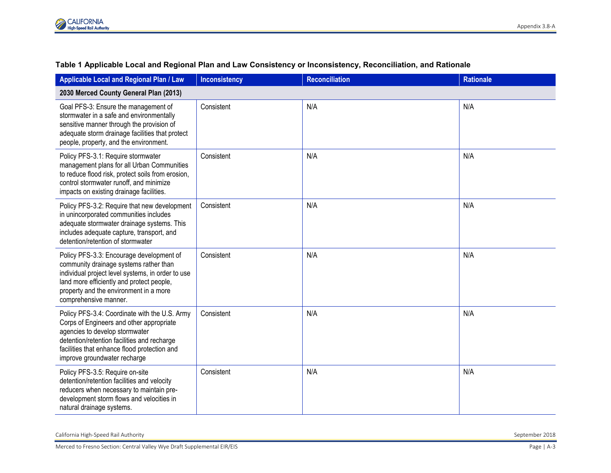

| Applicable Local and Regional Plan / Law                                                                                                                                                                                                                   | <b>Inconsistency</b> | <b>Reconciliation</b> | <b>Rationale</b> |
|------------------------------------------------------------------------------------------------------------------------------------------------------------------------------------------------------------------------------------------------------------|----------------------|-----------------------|------------------|
| 2030 Merced County General Plan (2013)                                                                                                                                                                                                                     |                      |                       |                  |
| Goal PFS-3: Ensure the management of<br>stormwater in a safe and environmentally<br>sensitive manner through the provision of<br>adequate storm drainage facilities that protect<br>people, property, and the environment.                                 | Consistent           | N/A                   | N/A              |
| Policy PFS-3.1: Require stormwater<br>management plans for all Urban Communities<br>to reduce flood risk, protect soils from erosion,<br>control stormwater runoff, and minimize<br>impacts on existing drainage facilities.                               | Consistent           | N/A                   | N/A              |
| Policy PFS-3.2: Require that new development<br>in unincorporated communities includes<br>adequate stormwater drainage systems. This<br>includes adequate capture, transport, and<br>detention/retention of stormwater                                     | Consistent           | N/A                   | N/A              |
| Policy PFS-3.3: Encourage development of<br>community drainage systems rather than<br>individual project level systems, in order to use<br>land more efficiently and protect people,<br>property and the environment in a more<br>comprehensive manner.    | Consistent           | N/A                   | N/A              |
| Policy PFS-3.4: Coordinate with the U.S. Army<br>Corps of Engineers and other appropriate<br>agencies to develop stormwater<br>detention/retention facilities and recharge<br>facilities that enhance flood protection and<br>improve groundwater recharge | Consistent           | N/A                   | N/A              |
| Policy PFS-3.5: Require on-site<br>detention/retention facilities and velocity<br>reducers when necessary to maintain pre-<br>development storm flows and velocities in<br>natural drainage systems.                                                       | Consistent           | N/A                   | N/A              |

## **Table 1 Applicable Local and Regional Plan and Law Consistency or Inconsistency, Reconciliation, and Rationale**

California High-Speed Rail Authority September 2018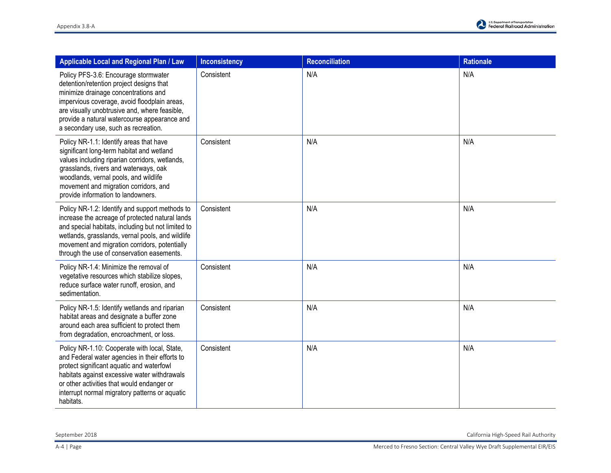| Applicable Local and Regional Plan / Law                                                                                                                                                                                                                                                                          | <b>Inconsistency</b> | <b>Reconciliation</b> | <b>Rationale</b> |
|-------------------------------------------------------------------------------------------------------------------------------------------------------------------------------------------------------------------------------------------------------------------------------------------------------------------|----------------------|-----------------------|------------------|
| Policy PFS-3.6: Encourage stormwater<br>detention/retention project designs that<br>minimize drainage concentrations and<br>impervious coverage, avoid floodplain areas,<br>are visually unobtrusive and, where feasible,<br>provide a natural watercourse appearance and<br>a secondary use, such as recreation. | Consistent           | N/A                   | N/A              |
| Policy NR-1.1: Identify areas that have<br>significant long-term habitat and wetland<br>values including riparian corridors, wetlands,<br>grasslands, rivers and waterways, oak<br>woodlands, vernal pools, and wildlife<br>movement and migration corridors, and<br>provide information to landowners.           | Consistent           | N/A                   | N/A              |
| Policy NR-1.2: Identify and support methods to<br>increase the acreage of protected natural lands<br>and special habitats, including but not limited to<br>wetlands, grasslands, vernal pools, and wildlife<br>movement and migration corridors, potentially<br>through the use of conservation easements.        | Consistent           | N/A                   | N/A              |
| Policy NR-1.4: Minimize the removal of<br>vegetative resources which stabilize slopes,<br>reduce surface water runoff, erosion, and<br>sedimentation.                                                                                                                                                             | Consistent           | N/A                   | N/A              |
| Policy NR-1.5: Identify wetlands and riparian<br>habitat areas and designate a buffer zone<br>around each area sufficient to protect them<br>from degradation, encroachment, or loss.                                                                                                                             | Consistent           | N/A                   | N/A              |
| Policy NR-1.10: Cooperate with local, State,<br>and Federal water agencies in their efforts to<br>protect significant aquatic and waterfowl<br>habitats against excessive water withdrawals<br>or other activities that would endanger or<br>interrupt normal migratory patterns or aquatic<br>habitats.          | Consistent           | N/A                   | N/A              |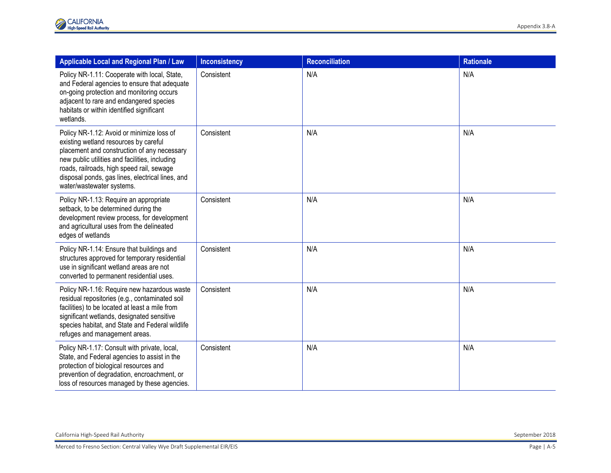| Applicable Local and Regional Plan / Law                                                                                                                                                                                                                                                                          | <b>Inconsistency</b> | Reconciliation | <b>Rationale</b> |
|-------------------------------------------------------------------------------------------------------------------------------------------------------------------------------------------------------------------------------------------------------------------------------------------------------------------|----------------------|----------------|------------------|
| Policy NR-1.11: Cooperate with local, State,<br>and Federal agencies to ensure that adequate<br>on-going protection and monitoring occurs<br>adjacent to rare and endangered species<br>habitats or within identified significant<br>wetlands.                                                                    | Consistent           | N/A            | N/A              |
| Policy NR-1.12: Avoid or minimize loss of<br>existing wetland resources by careful<br>placement and construction of any necessary<br>new public utilities and facilities, including<br>roads, railroads, high speed rail, sewage<br>disposal ponds, gas lines, electrical lines, and<br>water/wastewater systems. | Consistent           | N/A            | N/A              |
| Policy NR-1.13: Require an appropriate<br>setback, to be determined during the<br>development review process, for development<br>and agricultural uses from the delineated<br>edges of wetlands                                                                                                                   | Consistent           | N/A            | N/A              |
| Policy NR-1.14: Ensure that buildings and<br>structures approved for temporary residential<br>use in significant wetland areas are not<br>converted to permanent residential uses.                                                                                                                                | Consistent           | N/A            | N/A              |
| Policy NR-1.16: Require new hazardous waste<br>residual repositories (e.g., contaminated soil<br>facilities) to be located at least a mile from<br>significant wetlands, designated sensitive<br>species habitat, and State and Federal wildlife<br>refuges and management areas.                                 | Consistent           | N/A            | N/A              |
| Policy NR-1.17: Consult with private, local,<br>State, and Federal agencies to assist in the<br>protection of biological resources and<br>prevention of degradation, encroachment, or<br>loss of resources managed by these agencies.                                                                             | Consistent           | N/A            | N/A              |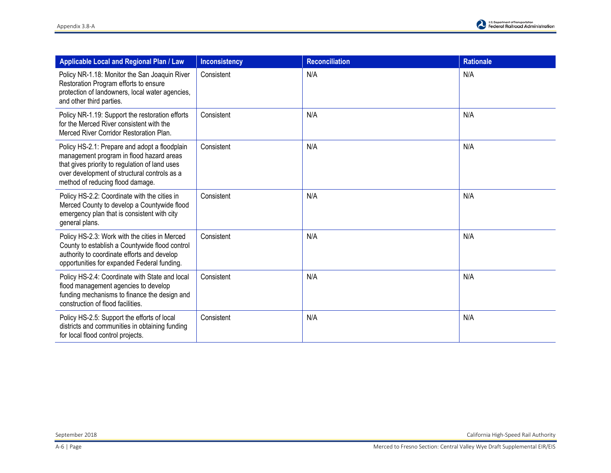| Applicable Local and Regional Plan / Law                                                                                                                                                                                        | <b>Inconsistency</b> | <b>Reconciliation</b> | <b>Rationale</b> |
|---------------------------------------------------------------------------------------------------------------------------------------------------------------------------------------------------------------------------------|----------------------|-----------------------|------------------|
| Policy NR-1.18: Monitor the San Joaquin River<br>Restoration Program efforts to ensure<br>protection of landowners, local water agencies,<br>and other third parties.                                                           | Consistent           | N/A                   | N/A              |
| Policy NR-1.19: Support the restoration efforts<br>for the Merced River consistent with the<br>Merced River Corridor Restoration Plan.                                                                                          | Consistent           | N/A                   | N/A              |
| Policy HS-2.1: Prepare and adopt a floodplain<br>management program in flood hazard areas<br>that gives priority to regulation of land uses<br>over development of structural controls as a<br>method of reducing flood damage. | Consistent           | N/A                   | N/A              |
| Policy HS-2.2: Coordinate with the cities in<br>Merced County to develop a Countywide flood<br>emergency plan that is consistent with city<br>general plans.                                                                    | Consistent           | N/A                   | N/A              |
| Policy HS-2.3: Work with the cities in Merced<br>County to establish a Countywide flood control<br>authority to coordinate efforts and develop<br>opportunities for expanded Federal funding.                                   | Consistent           | N/A                   | N/A              |
| Policy HS-2.4: Coordinate with State and local<br>flood management agencies to develop<br>funding mechanisms to finance the design and<br>construction of flood facilities.                                                     | Consistent           | N/A                   | N/A              |
| Policy HS-2.5: Support the efforts of local<br>districts and communities in obtaining funding<br>for local flood control projects.                                                                                              | Consistent           | N/A                   | N/A              |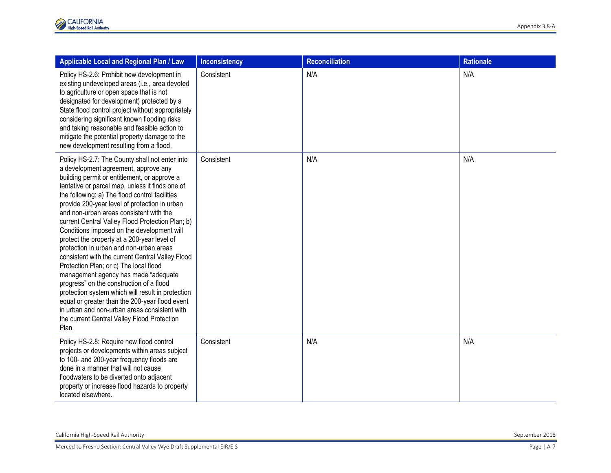| Applicable Local and Regional Plan / Law                                                                                                                                                                                                                                                                                                                                                                                                                                                                                                                                                                                                                                                                                                                                                                                                                                                                                             | Inconsistency | <b>Reconciliation</b> | <b>Rationale</b> |
|--------------------------------------------------------------------------------------------------------------------------------------------------------------------------------------------------------------------------------------------------------------------------------------------------------------------------------------------------------------------------------------------------------------------------------------------------------------------------------------------------------------------------------------------------------------------------------------------------------------------------------------------------------------------------------------------------------------------------------------------------------------------------------------------------------------------------------------------------------------------------------------------------------------------------------------|---------------|-----------------------|------------------|
| Policy HS-2.6: Prohibit new development in<br>existing undeveloped areas (i.e., area devoted<br>to agriculture or open space that is not<br>designated for development) protected by a<br>State flood control project without appropriately<br>considering significant known flooding risks<br>and taking reasonable and feasible action to<br>mitigate the potential property damage to the<br>new development resulting from a flood.                                                                                                                                                                                                                                                                                                                                                                                                                                                                                              | Consistent    | N/A                   | N/A              |
| Policy HS-2.7: The County shall not enter into<br>a development agreement, approve any<br>building permit or entitlement, or approve a<br>tentative or parcel map, unless it finds one of<br>the following: a) The flood control facilities<br>provide 200-year level of protection in urban<br>and non-urban areas consistent with the<br>current Central Valley Flood Protection Plan; b)<br>Conditions imposed on the development will<br>protect the property at a 200-year level of<br>protection in urban and non-urban areas<br>consistent with the current Central Valley Flood<br>Protection Plan; or c) The local flood<br>management agency has made "adequate<br>progress" on the construction of a flood<br>protection system which will result in protection<br>equal or greater than the 200-year flood event<br>in urban and non-urban areas consistent with<br>the current Central Valley Flood Protection<br>Plan. | Consistent    | N/A                   | N/A              |
| Policy HS-2.8: Require new flood control<br>projects or developments within areas subject<br>to 100- and 200-year frequency floods are<br>done in a manner that will not cause<br>floodwaters to be diverted onto adjacent<br>property or increase flood hazards to property<br>located elsewhere.                                                                                                                                                                                                                                                                                                                                                                                                                                                                                                                                                                                                                                   | Consistent    | N/A                   | N/A              |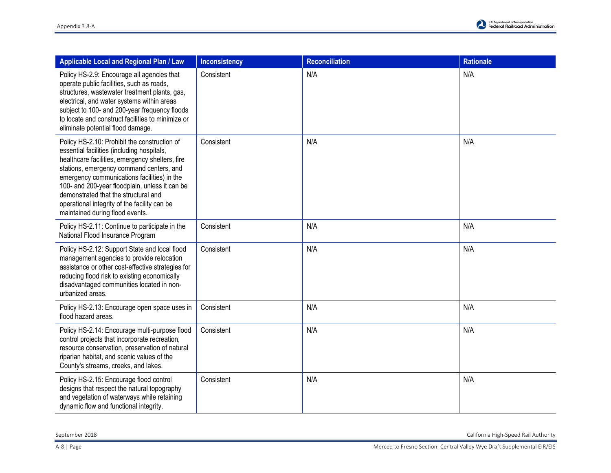| Applicable Local and Regional Plan / Law                                                                                                                                                                                                                                                                                                                                                                              | <b>Inconsistency</b> | <b>Reconciliation</b> | <b>Rationale</b> |
|-----------------------------------------------------------------------------------------------------------------------------------------------------------------------------------------------------------------------------------------------------------------------------------------------------------------------------------------------------------------------------------------------------------------------|----------------------|-----------------------|------------------|
| Policy HS-2.9: Encourage all agencies that<br>operate public facilities, such as roads,<br>structures, wastewater treatment plants, gas,<br>electrical, and water systems within areas<br>subject to 100- and 200-year frequency floods<br>to locate and construct facilities to minimize or<br>eliminate potential flood damage.                                                                                     | Consistent           | N/A                   | N/A              |
| Policy HS-2.10: Prohibit the construction of<br>essential facilities (including hospitals,<br>healthcare facilities, emergency shelters, fire<br>stations, emergency command centers, and<br>emergency communications facilities) in the<br>100- and 200-year floodplain, unless it can be<br>demonstrated that the structural and<br>operational integrity of the facility can be<br>maintained during flood events. | Consistent           | N/A                   | N/A              |
| Policy HS-2.11: Continue to participate in the<br>National Flood Insurance Program                                                                                                                                                                                                                                                                                                                                    | Consistent           | N/A                   | N/A              |
| Policy HS-2.12: Support State and local flood<br>management agencies to provide relocation<br>assistance or other cost-effective strategies for<br>reducing flood risk to existing economically<br>disadvantaged communities located in non-<br>urbanized areas.                                                                                                                                                      | Consistent           | N/A                   | N/A              |
| Policy HS-2.13: Encourage open space uses in<br>flood hazard areas.                                                                                                                                                                                                                                                                                                                                                   | Consistent           | N/A                   | N/A              |
| Policy HS-2.14: Encourage multi-purpose flood<br>control projects that incorporate recreation,<br>resource conservation, preservation of natural<br>riparian habitat, and scenic values of the<br>County's streams, creeks, and lakes.                                                                                                                                                                                | Consistent           | N/A                   | N/A              |
| Policy HS-2.15: Encourage flood control<br>designs that respect the natural topography<br>and vegetation of waterways while retaining<br>dynamic flow and functional integrity.                                                                                                                                                                                                                                       | Consistent           | N/A                   | N/A              |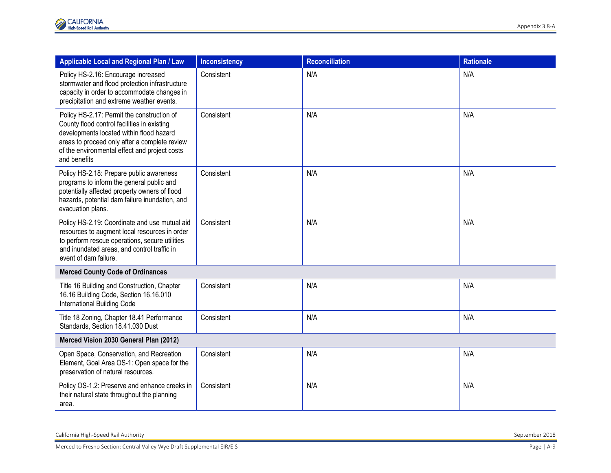| Applicable Local and Regional Plan / Law                                                                                                                                                                                                                | <b>Inconsistency</b> | <b>Reconciliation</b> | <b>Rationale</b> |  |
|---------------------------------------------------------------------------------------------------------------------------------------------------------------------------------------------------------------------------------------------------------|----------------------|-----------------------|------------------|--|
| Policy HS-2.16: Encourage increased<br>stormwater and flood protection infrastructure<br>capacity in order to accommodate changes in<br>precipitation and extreme weather events.                                                                       | Consistent           | N/A                   | N/A              |  |
| Policy HS-2.17: Permit the construction of<br>County flood control facilities in existing<br>developments located within flood hazard<br>areas to proceed only after a complete review<br>of the environmental effect and project costs<br>and benefits | Consistent           | N/A                   | N/A              |  |
| Policy HS-2.18: Prepare public awareness<br>programs to inform the general public and<br>potentially affected property owners of flood<br>hazards, potential dam failure inundation, and<br>evacuation plans.                                           | Consistent           | N/A                   | N/A              |  |
| Policy HS-2.19: Coordinate and use mutual aid<br>resources to augment local resources in order<br>to perform rescue operations, secure utilities<br>and inundated areas, and control traffic in<br>event of dam failure.                                | Consistent           | N/A                   | N/A              |  |
| <b>Merced County Code of Ordinances</b>                                                                                                                                                                                                                 |                      |                       |                  |  |
| Title 16 Building and Construction, Chapter<br>16.16 Building Code, Section 16.16.010<br>International Building Code                                                                                                                                    | Consistent           | N/A                   | N/A              |  |
| Title 18 Zoning, Chapter 18.41 Performance<br>Standards, Section 18.41.030 Dust                                                                                                                                                                         | Consistent           | N/A                   | N/A              |  |
| Merced Vision 2030 General Plan (2012)                                                                                                                                                                                                                  |                      |                       |                  |  |
| Open Space, Conservation, and Recreation<br>Element, Goal Area OS-1: Open space for the<br>preservation of natural resources.                                                                                                                           | Consistent           | N/A                   | N/A              |  |
| Policy OS-1.2: Preserve and enhance creeks in<br>their natural state throughout the planning<br>area.                                                                                                                                                   | Consistent           | N/A                   | N/A              |  |

California High-Speed Rail Authority September 2018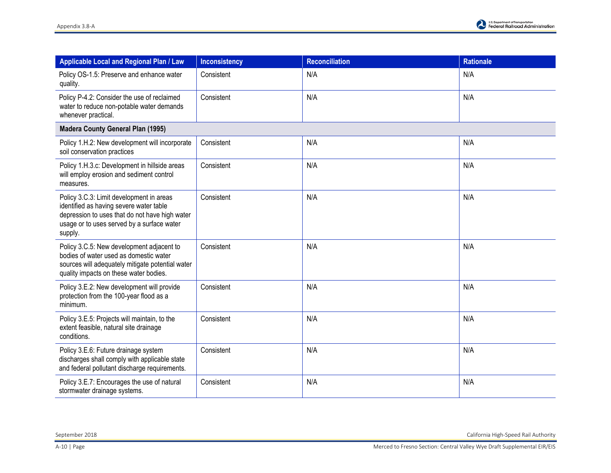| Applicable Local and Regional Plan / Law                                                                                                                                                       | <b>Inconsistency</b> | <b>Reconciliation</b> | <b>Rationale</b> |
|------------------------------------------------------------------------------------------------------------------------------------------------------------------------------------------------|----------------------|-----------------------|------------------|
| Policy OS-1.5: Preserve and enhance water<br>quality.                                                                                                                                          | Consistent           | N/A                   | N/A              |
| Policy P-4.2: Consider the use of reclaimed<br>water to reduce non-potable water demands<br>whenever practical.                                                                                | Consistent           | N/A                   | N/A              |
| <b>Madera County General Plan (1995)</b>                                                                                                                                                       |                      |                       |                  |
| Policy 1.H.2: New development will incorporate<br>soil conservation practices                                                                                                                  | Consistent           | N/A                   | N/A              |
| Policy 1.H.3.c: Development in hillside areas<br>will employ erosion and sediment control<br>measures.                                                                                         | Consistent           | N/A                   | N/A              |
| Policy 3.C.3: Limit development in areas<br>identified as having severe water table<br>depression to uses that do not have high water<br>usage or to uses served by a surface water<br>supply. | Consistent           | N/A                   | N/A              |
| Policy 3.C.5: New development adjacent to<br>bodies of water used as domestic water<br>sources will adequately mitigate potential water<br>quality impacts on these water bodies.              | Consistent           | N/A                   | N/A              |
| Policy 3.E.2: New development will provide<br>protection from the 100-year flood as a<br>minimum.                                                                                              | Consistent           | N/A                   | N/A              |
| Policy 3.E.5: Projects will maintain, to the<br>extent feasible, natural site drainage<br>conditions.                                                                                          | Consistent           | N/A                   | N/A              |
| Policy 3.E.6: Future drainage system<br>discharges shall comply with applicable state<br>and federal pollutant discharge requirements.                                                         | Consistent           | N/A                   | N/A              |
| Policy 3.E.7: Encourages the use of natural<br>stormwater drainage systems.                                                                                                                    | Consistent           | N/A                   | N/A              |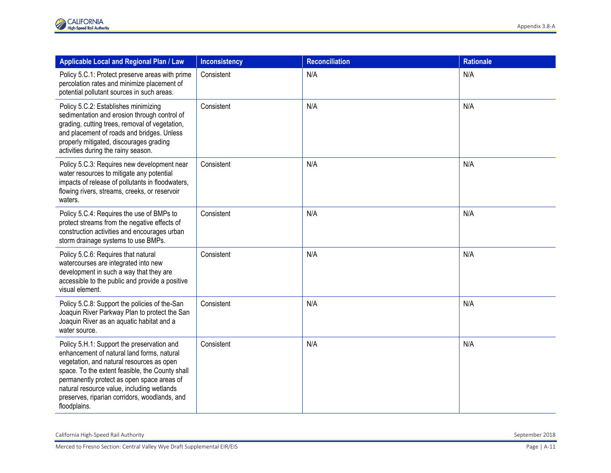| Applicable Local and Regional Plan / Law                                                                                                                                                                                                                                                                                                              | <b>Inconsistency</b> | <b>Reconciliation</b> | <b>Rationale</b> |
|-------------------------------------------------------------------------------------------------------------------------------------------------------------------------------------------------------------------------------------------------------------------------------------------------------------------------------------------------------|----------------------|-----------------------|------------------|
| Policy 5.C.1: Protect preserve areas with prime<br>percolation rates and minimize placement of<br>potential pollutant sources in such areas.                                                                                                                                                                                                          | Consistent           | N/A                   | N/A              |
| Policy 5.C.2: Establishes minimizing<br>sedimentation and erosion through control of<br>grading, cutting trees, removal of vegetation,<br>and placement of roads and bridges. Unless<br>properly mitigated, discourages grading<br>activities during the rainy season.                                                                                | Consistent           | N/A                   | N/A              |
| Policy 5.C.3: Requires new development near<br>water resources to mitigate any potential<br>impacts of release of pollutants in floodwaters,<br>flowing rivers, streams, creeks, or reservoir<br>waters.                                                                                                                                              | Consistent           | N/A                   | N/A              |
| Policy 5.C.4: Requires the use of BMPs to<br>protect streams from the negative effects of<br>construction activities and encourages urban<br>storm drainage systems to use BMPs.                                                                                                                                                                      | Consistent           | N/A                   | N/A              |
| Policy 5.C.6: Requires that natural<br>watercourses are integrated into new<br>development in such a way that they are<br>accessible to the public and provide a positive<br>visual element.                                                                                                                                                          | Consistent           | N/A                   | N/A              |
| Policy 5.C.8: Support the policies of the-San<br>Joaquin River Parkway Plan to protect the San<br>Joaquin River as an aquatic habitat and a<br>water source.                                                                                                                                                                                          | Consistent           | N/A                   | N/A              |
| Policy 5.H.1: Support the preservation and<br>enhancement of natural land forms, natural<br>vegetation, and natural resources as open<br>space. To the extent feasible, the County shall<br>permanently protect as open space areas of<br>natural resource value, including wetlands<br>preserves, riparian corridors, woodlands, and<br>floodplains. | Consistent           | N/A                   | N/A              |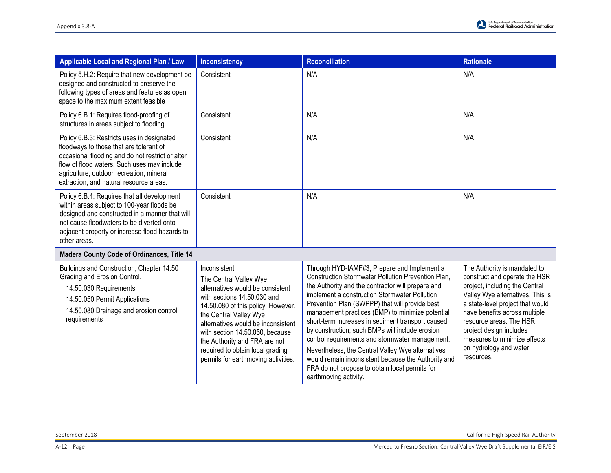| <b>Applicable Local and Regional Plan / Law</b>                                                                                                                                                                                                                                 | <b>Inconsistency</b>                                                                                                                                                                                                                                                                                                                                           | <b>Reconciliation</b>                                                                                                                                                                                                                                                                                                                                                                                                                                                                                                                                                                                                                                           | <b>Rationale</b>                                                                                                                                                                                                                                                                                                                       |
|---------------------------------------------------------------------------------------------------------------------------------------------------------------------------------------------------------------------------------------------------------------------------------|----------------------------------------------------------------------------------------------------------------------------------------------------------------------------------------------------------------------------------------------------------------------------------------------------------------------------------------------------------------|-----------------------------------------------------------------------------------------------------------------------------------------------------------------------------------------------------------------------------------------------------------------------------------------------------------------------------------------------------------------------------------------------------------------------------------------------------------------------------------------------------------------------------------------------------------------------------------------------------------------------------------------------------------------|----------------------------------------------------------------------------------------------------------------------------------------------------------------------------------------------------------------------------------------------------------------------------------------------------------------------------------------|
| Policy 5.H.2: Require that new development be<br>designed and constructed to preserve the<br>following types of areas and features as open<br>space to the maximum extent feasible                                                                                              | Consistent                                                                                                                                                                                                                                                                                                                                                     | N/A                                                                                                                                                                                                                                                                                                                                                                                                                                                                                                                                                                                                                                                             | N/A                                                                                                                                                                                                                                                                                                                                    |
| Policy 6.B.1: Requires flood-proofing of<br>structures in areas subject to flooding.                                                                                                                                                                                            | Consistent                                                                                                                                                                                                                                                                                                                                                     | N/A                                                                                                                                                                                                                                                                                                                                                                                                                                                                                                                                                                                                                                                             | N/A                                                                                                                                                                                                                                                                                                                                    |
| Policy 6.B.3: Restricts uses in designated<br>floodways to those that are tolerant of<br>occasional flooding and do not restrict or alter<br>flow of flood waters. Such uses may include<br>agriculture, outdoor recreation, mineral<br>extraction, and natural resource areas. | Consistent                                                                                                                                                                                                                                                                                                                                                     | N/A                                                                                                                                                                                                                                                                                                                                                                                                                                                                                                                                                                                                                                                             | N/A                                                                                                                                                                                                                                                                                                                                    |
| Policy 6.B.4: Requires that all development<br>within areas subject to 100-year floods be<br>designed and constructed in a manner that will<br>not cause floodwaters to be diverted onto<br>adjacent property or increase flood hazards to<br>other areas.                      | Consistent                                                                                                                                                                                                                                                                                                                                                     | N/A                                                                                                                                                                                                                                                                                                                                                                                                                                                                                                                                                                                                                                                             | N/A                                                                                                                                                                                                                                                                                                                                    |
| <b>Madera County Code of Ordinances, Title 14</b>                                                                                                                                                                                                                               |                                                                                                                                                                                                                                                                                                                                                                |                                                                                                                                                                                                                                                                                                                                                                                                                                                                                                                                                                                                                                                                 |                                                                                                                                                                                                                                                                                                                                        |
| Buildings and Construction, Chapter 14.50<br>Grading and Erosion Control.<br>14.50.030 Requirements<br>14.50.050 Permit Applications<br>14.50.080 Drainage and erosion control<br>requirements                                                                                  | Inconsistent<br>The Central Valley Wye<br>alternatives would be consistent<br>with sections 14.50.030 and<br>14.50.080 of this policy. However,<br>the Central Valley Wye<br>alternatives would be inconsistent<br>with section 14.50.050, because<br>the Authority and FRA are not<br>required to obtain local grading<br>permits for earthmoving activities. | Through HYD-IAMF#3, Prepare and Implement a<br>Construction Stormwater Pollution Prevention Plan,<br>the Authority and the contractor will prepare and<br>implement a construction Stormwater Pollution<br>Prevention Plan (SWPPP) that will provide best<br>management practices (BMP) to minimize potential<br>short-term increases in sediment transport caused<br>by construction; such BMPs will include erosion<br>control requirements and stormwater management.<br>Nevertheless, the Central Valley Wye alternatives<br>would remain inconsistent because the Authority and<br>FRA do not propose to obtain local permits for<br>earthmoving activity. | The Authority is mandated to<br>construct and operate the HSR<br>project, including the Central<br>Valley Wye alternatives. This is<br>a state-level project that would<br>have benefits across multiple<br>resource areas. The HSR<br>project design includes<br>measures to minimize effects<br>on hydrology and water<br>resources. |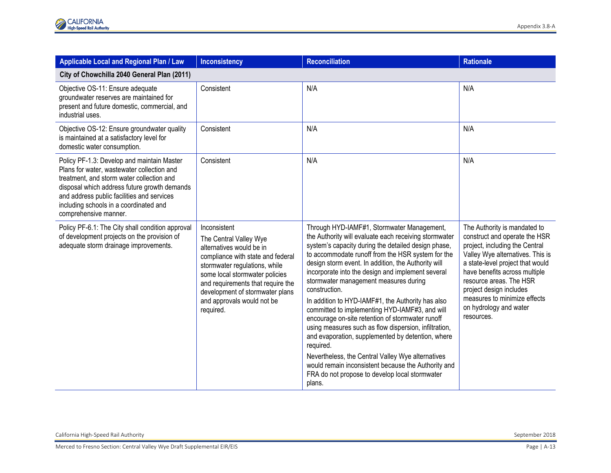| Applicable Local and Regional Plan / Law                                                                                                                                                                                                                                                               | <b>Inconsistency</b>                                                                                                                                                                                                                                                                          | <b>Reconciliation</b>                                                                                                                                                                                                                                                                                                                                                                                                                                                                                                                                                                                                                                                                                                                                                                                                                               | <b>Rationale</b>                                                                                                                                                                                                                                                                                                                       |  |
|--------------------------------------------------------------------------------------------------------------------------------------------------------------------------------------------------------------------------------------------------------------------------------------------------------|-----------------------------------------------------------------------------------------------------------------------------------------------------------------------------------------------------------------------------------------------------------------------------------------------|-----------------------------------------------------------------------------------------------------------------------------------------------------------------------------------------------------------------------------------------------------------------------------------------------------------------------------------------------------------------------------------------------------------------------------------------------------------------------------------------------------------------------------------------------------------------------------------------------------------------------------------------------------------------------------------------------------------------------------------------------------------------------------------------------------------------------------------------------------|----------------------------------------------------------------------------------------------------------------------------------------------------------------------------------------------------------------------------------------------------------------------------------------------------------------------------------------|--|
| City of Chowchilla 2040 General Plan (2011)                                                                                                                                                                                                                                                            |                                                                                                                                                                                                                                                                                               |                                                                                                                                                                                                                                                                                                                                                                                                                                                                                                                                                                                                                                                                                                                                                                                                                                                     |                                                                                                                                                                                                                                                                                                                                        |  |
| Objective OS-11: Ensure adequate<br>groundwater reserves are maintained for<br>present and future domestic, commercial, and<br>industrial uses.                                                                                                                                                        | Consistent                                                                                                                                                                                                                                                                                    | N/A                                                                                                                                                                                                                                                                                                                                                                                                                                                                                                                                                                                                                                                                                                                                                                                                                                                 | N/A                                                                                                                                                                                                                                                                                                                                    |  |
| Objective OS-12: Ensure groundwater quality<br>is maintained at a satisfactory level for<br>domestic water consumption.                                                                                                                                                                                | Consistent                                                                                                                                                                                                                                                                                    | N/A                                                                                                                                                                                                                                                                                                                                                                                                                                                                                                                                                                                                                                                                                                                                                                                                                                                 | N/A                                                                                                                                                                                                                                                                                                                                    |  |
| Policy PF-1.3: Develop and maintain Master<br>Plans for water, wastewater collection and<br>treatment, and storm water collection and<br>disposal which address future growth demands<br>and address public facilities and services<br>including schools in a coordinated and<br>comprehensive manner. | Consistent                                                                                                                                                                                                                                                                                    | N/A                                                                                                                                                                                                                                                                                                                                                                                                                                                                                                                                                                                                                                                                                                                                                                                                                                                 | N/A                                                                                                                                                                                                                                                                                                                                    |  |
| Policy PF-6.1: The City shall condition approval<br>of development projects on the provision of<br>adequate storm drainage improvements.                                                                                                                                                               | Inconsistent<br>The Central Valley Wye<br>alternatives would be in<br>compliance with state and federal<br>stormwater regulations, while<br>some local stormwater policies<br>and requirements that require the<br>development of stormwater plans<br>and approvals would not be<br>required. | Through HYD-IAMF#1, Stormwater Management,<br>the Authority will evaluate each receiving stormwater<br>system's capacity during the detailed design phase,<br>to accommodate runoff from the HSR system for the<br>design storm event. In addition, the Authority will<br>incorporate into the design and implement several<br>stormwater management measures during<br>construction.<br>In addition to HYD-IAMF#1, the Authority has also<br>committed to implementing HYD-IAMF#3, and will<br>encourage on-site retention of stormwater runoff<br>using measures such as flow dispersion, infiltration,<br>and evaporation, supplemented by detention, where<br>required.<br>Nevertheless, the Central Valley Wye alternatives<br>would remain inconsistent because the Authority and<br>FRA do not propose to develop local stormwater<br>plans. | The Authority is mandated to<br>construct and operate the HSR<br>project, including the Central<br>Valley Wye alternatives. This is<br>a state-level project that would<br>have benefits across multiple<br>resource areas. The HSR<br>project design includes<br>measures to minimize effects<br>on hydrology and water<br>resources. |  |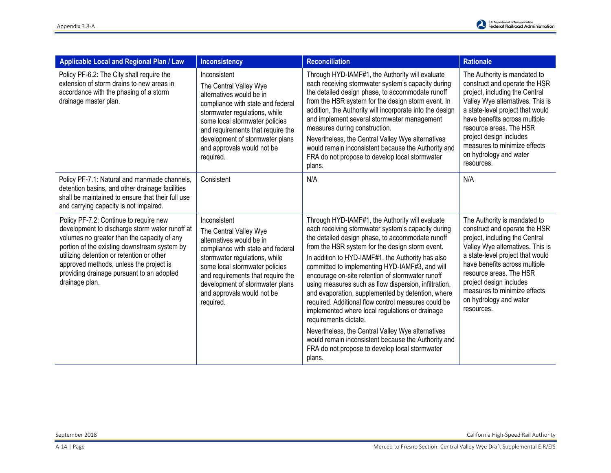| Applicable Local and Regional Plan / Law                                                                                                                                                                                                                                                                                                       | <b>Inconsistency</b>                                                                                                                                                                                                                                                                          | <b>Reconciliation</b>                                                                                                                                                                                                                                                                                                                                                                                                                                                                                                                                                                                                                                                                                                                                                                            | <b>Rationale</b>                                                                                                                                                                                                                                                                                                                       |
|------------------------------------------------------------------------------------------------------------------------------------------------------------------------------------------------------------------------------------------------------------------------------------------------------------------------------------------------|-----------------------------------------------------------------------------------------------------------------------------------------------------------------------------------------------------------------------------------------------------------------------------------------------|--------------------------------------------------------------------------------------------------------------------------------------------------------------------------------------------------------------------------------------------------------------------------------------------------------------------------------------------------------------------------------------------------------------------------------------------------------------------------------------------------------------------------------------------------------------------------------------------------------------------------------------------------------------------------------------------------------------------------------------------------------------------------------------------------|----------------------------------------------------------------------------------------------------------------------------------------------------------------------------------------------------------------------------------------------------------------------------------------------------------------------------------------|
| Policy PF-6.2: The City shall require the<br>extension of storm drains to new areas in<br>accordance with the phasing of a storm<br>drainage master plan.                                                                                                                                                                                      | Inconsistent<br>The Central Valley Wye<br>alternatives would be in<br>compliance with state and federal<br>stormwater regulations, while<br>some local stormwater policies<br>and requirements that require the<br>development of stormwater plans<br>and approvals would not be<br>required. | Through HYD-IAMF#1, the Authority will evaluate<br>each receiving stormwater system's capacity during<br>the detailed design phase, to accommodate runoff<br>from the HSR system for the design storm event. In<br>addition, the Authority will incorporate into the design<br>and implement several stormwater management<br>measures during construction.<br>Nevertheless, the Central Valley Wye alternatives<br>would remain inconsistent because the Authority and<br>FRA do not propose to develop local stormwater<br>plans.                                                                                                                                                                                                                                                              | The Authority is mandated to<br>construct and operate the HSR<br>project, including the Central<br>Valley Wye alternatives. This is<br>a state-level project that would<br>have benefits across multiple<br>resource areas. The HSR<br>project design includes<br>measures to minimize effects<br>on hydrology and water<br>resources. |
| Policy PF-7.1: Natural and manmade channels,<br>detention basins, and other drainage facilities<br>shall be maintained to ensure that their full use<br>and carrying capacity is not impaired.                                                                                                                                                 | Consistent                                                                                                                                                                                                                                                                                    | N/A                                                                                                                                                                                                                                                                                                                                                                                                                                                                                                                                                                                                                                                                                                                                                                                              | N/A                                                                                                                                                                                                                                                                                                                                    |
| Policy PF-7.2: Continue to require new<br>development to discharge storm water runoff at<br>volumes no greater than the capacity of any<br>portion of the existing downstream system by<br>utilizing detention or retention or other<br>approved methods, unless the project is<br>providing drainage pursuant to an adopted<br>drainage plan. | Inconsistent<br>The Central Valley Wye<br>alternatives would be in<br>compliance with state and federal<br>stormwater regulations, while<br>some local stormwater policies<br>and requirements that require the<br>development of stormwater plans<br>and approvals would not be<br>required. | Through HYD-IAMF#1, the Authority will evaluate<br>each receiving stormwater system's capacity during<br>the detailed design phase, to accommodate runoff<br>from the HSR system for the design storm event.<br>In addition to HYD-IAMF#1, the Authority has also<br>committed to implementing HYD-IAMF#3, and will<br>encourage on-site retention of stormwater runoff<br>using measures such as flow dispersion, infiltration,<br>and evaporation, supplemented by detention, where<br>required. Additional flow control measures could be<br>implemented where local regulations or drainage<br>requirements dictate.<br>Nevertheless, the Central Valley Wye alternatives<br>would remain inconsistent because the Authority and<br>FRA do not propose to develop local stormwater<br>plans. | The Authority is mandated to<br>construct and operate the HSR<br>project, including the Central<br>Valley Wye alternatives. This is<br>a state-level project that would<br>have benefits across multiple<br>resource areas. The HSR<br>project design includes<br>measures to minimize effects<br>on hydrology and water<br>resources. |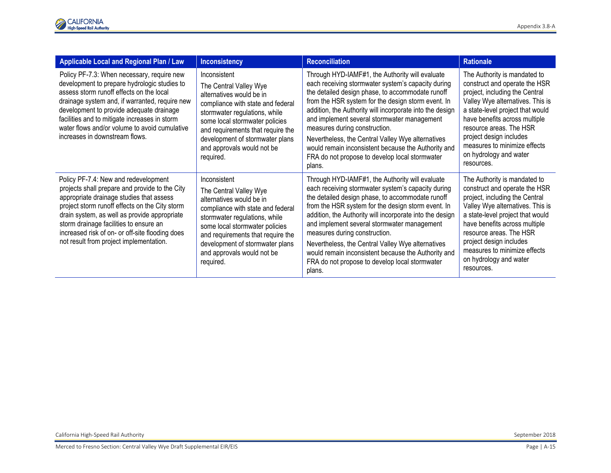| <b>Applicable Local and Regional Plan / Law</b>                                                                                                                                                                                                                                                                                                                              | <b>Inconsistency</b>                                                                                                                                                                                                                                                                          | <b>Reconciliation</b>                                                                                                                                                                                                                                                                                                                                                                                                                                                                                                               | <b>Rationale</b>                                                                                                                                                                                                                                                                                                                       |
|------------------------------------------------------------------------------------------------------------------------------------------------------------------------------------------------------------------------------------------------------------------------------------------------------------------------------------------------------------------------------|-----------------------------------------------------------------------------------------------------------------------------------------------------------------------------------------------------------------------------------------------------------------------------------------------|-------------------------------------------------------------------------------------------------------------------------------------------------------------------------------------------------------------------------------------------------------------------------------------------------------------------------------------------------------------------------------------------------------------------------------------------------------------------------------------------------------------------------------------|----------------------------------------------------------------------------------------------------------------------------------------------------------------------------------------------------------------------------------------------------------------------------------------------------------------------------------------|
| Policy PF-7.3: When necessary, require new<br>development to prepare hydrologic studies to<br>assess storm runoff effects on the local<br>drainage system and, if warranted, require new<br>development to provide adequate drainage<br>facilities and to mitigate increases in storm<br>water flows and/or volume to avoid cumulative<br>increases in downstream flows.     | Inconsistent<br>The Central Valley Wye<br>alternatives would be in<br>compliance with state and federal<br>stormwater regulations, while<br>some local stormwater policies<br>and requirements that require the<br>development of stormwater plans<br>and approvals would not be<br>required. | Through HYD-IAMF#1, the Authority will evaluate<br>each receiving stormwater system's capacity during<br>the detailed design phase, to accommodate runoff<br>from the HSR system for the design storm event. In<br>addition, the Authority will incorporate into the design<br>and implement several stormwater management<br>measures during construction.<br>Nevertheless, the Central Valley Wye alternatives<br>would remain inconsistent because the Authority and<br>FRA do not propose to develop local stormwater<br>plans. | The Authority is mandated to<br>construct and operate the HSR<br>project, including the Central<br>Valley Wye alternatives. This is<br>a state-level project that would<br>have benefits across multiple<br>resource areas. The HSR<br>project design includes<br>measures to minimize effects<br>on hydrology and water<br>resources. |
| Policy PF-7.4: New and redevelopment<br>projects shall prepare and provide to the City<br>appropriate drainage studies that assess<br>project storm runoff effects on the City storm<br>drain system, as well as provide appropriate<br>storm drainage facilities to ensure an<br>increased risk of on- or off-site flooding does<br>not result from project implementation. | Inconsistent<br>The Central Valley Wye<br>alternatives would be in<br>compliance with state and federal<br>stormwater regulations, while<br>some local stormwater policies<br>and requirements that require the<br>development of stormwater plans<br>and approvals would not be<br>required. | Through HYD-IAMF#1, the Authority will evaluate<br>each receiving stormwater system's capacity during<br>the detailed design phase, to accommodate runoff<br>from the HSR system for the design storm event. In<br>addition, the Authority will incorporate into the design<br>and implement several stormwater management<br>measures during construction.<br>Nevertheless, the Central Valley Wye alternatives<br>would remain inconsistent because the Authority and<br>FRA do not propose to develop local stormwater<br>plans. | The Authority is mandated to<br>construct and operate the HSR<br>project, including the Central<br>Valley Wye alternatives. This is<br>a state-level project that would<br>have benefits across multiple<br>resource areas. The HSR<br>project design includes<br>measures to minimize effects<br>on hydrology and water<br>resources. |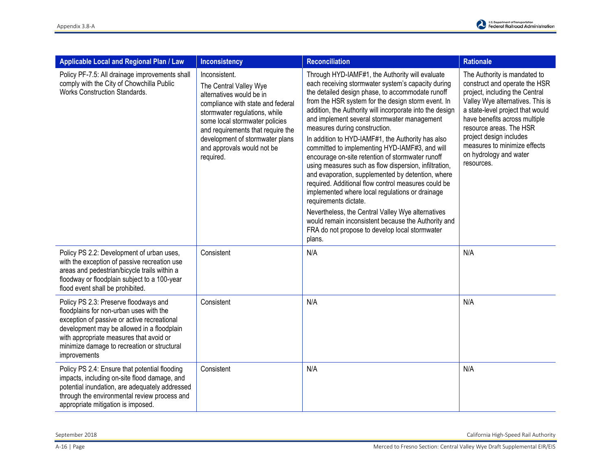| Applicable Local and Regional Plan / Law                                                                                                                                                                                                                                                | <b>Inconsistency</b>                                                                                                                                                                                                                                                                           | <b>Reconciliation</b>                                                                                                                                                                                                                                                                                                                                                                                                                                                                                                                                                                                                                                                                                                                                                                                                                                                                                                                           | <b>Rationale</b>                                                                                                                                                                                                                                                                                                                       |
|-----------------------------------------------------------------------------------------------------------------------------------------------------------------------------------------------------------------------------------------------------------------------------------------|------------------------------------------------------------------------------------------------------------------------------------------------------------------------------------------------------------------------------------------------------------------------------------------------|-------------------------------------------------------------------------------------------------------------------------------------------------------------------------------------------------------------------------------------------------------------------------------------------------------------------------------------------------------------------------------------------------------------------------------------------------------------------------------------------------------------------------------------------------------------------------------------------------------------------------------------------------------------------------------------------------------------------------------------------------------------------------------------------------------------------------------------------------------------------------------------------------------------------------------------------------|----------------------------------------------------------------------------------------------------------------------------------------------------------------------------------------------------------------------------------------------------------------------------------------------------------------------------------------|
| Policy PF-7.5: All drainage improvements shall<br>comply with the City of Chowchilla Public<br><b>Works Construction Standards.</b>                                                                                                                                                     | Inconsistent.<br>The Central Valley Wye<br>alternatives would be in<br>compliance with state and federal<br>stormwater regulations, while<br>some local stormwater policies<br>and requirements that require the<br>development of stormwater plans<br>and approvals would not be<br>required. | Through HYD-IAMF#1, the Authority will evaluate<br>each receiving stormwater system's capacity during<br>the detailed design phase, to accommodate runoff<br>from the HSR system for the design storm event. In<br>addition, the Authority will incorporate into the design<br>and implement several stormwater management<br>measures during construction.<br>In addition to HYD-IAMF#1, the Authority has also<br>committed to implementing HYD-IAMF#3, and will<br>encourage on-site retention of stormwater runoff<br>using measures such as flow dispersion, infiltration,<br>and evaporation, supplemented by detention, where<br>required. Additional flow control measures could be<br>implemented where local regulations or drainage<br>requirements dictate.<br>Nevertheless, the Central Valley Wye alternatives<br>would remain inconsistent because the Authority and<br>FRA do not propose to develop local stormwater<br>plans. | The Authority is mandated to<br>construct and operate the HSR<br>project, including the Central<br>Valley Wye alternatives. This is<br>a state-level project that would<br>have benefits across multiple<br>resource areas. The HSR<br>project design includes<br>measures to minimize effects<br>on hydrology and water<br>resources. |
| Policy PS 2.2: Development of urban uses,<br>with the exception of passive recreation use<br>areas and pedestrian/bicycle trails within a<br>floodway or floodplain subject to a 100-year<br>flood event shall be prohibited.                                                           | Consistent                                                                                                                                                                                                                                                                                     | N/A                                                                                                                                                                                                                                                                                                                                                                                                                                                                                                                                                                                                                                                                                                                                                                                                                                                                                                                                             | N/A                                                                                                                                                                                                                                                                                                                                    |
| Policy PS 2.3: Preserve floodways and<br>floodplains for non-urban uses with the<br>exception of passive or active recreational<br>development may be allowed in a floodplain<br>with appropriate measures that avoid or<br>minimize damage to recreation or structural<br>improvements | Consistent                                                                                                                                                                                                                                                                                     | N/A                                                                                                                                                                                                                                                                                                                                                                                                                                                                                                                                                                                                                                                                                                                                                                                                                                                                                                                                             | N/A                                                                                                                                                                                                                                                                                                                                    |
| Policy PS 2.4: Ensure that potential flooding<br>impacts, including on-site flood damage, and<br>potential inundation, are adequately addressed<br>through the environmental review process and<br>appropriate mitigation is imposed.                                                   | Consistent                                                                                                                                                                                                                                                                                     | N/A                                                                                                                                                                                                                                                                                                                                                                                                                                                                                                                                                                                                                                                                                                                                                                                                                                                                                                                                             | N/A                                                                                                                                                                                                                                                                                                                                    |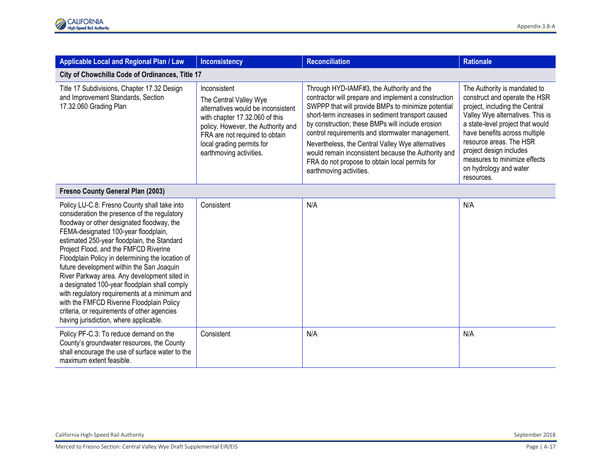| Applicable Local and Regional Plan / Law                                                                                                                                                                                                                                                                                                                                                                                                                                                                                                                                                                                                                            | <b>Inconsistency</b>                                                                                                                                                                                                                           | <b>Reconciliation</b>                                                                                                                                                                                                                                                                                                                                                                                                                                                                                        | <b>Rationale</b>                                                                                                                                                                                                                                                                                                                       |
|---------------------------------------------------------------------------------------------------------------------------------------------------------------------------------------------------------------------------------------------------------------------------------------------------------------------------------------------------------------------------------------------------------------------------------------------------------------------------------------------------------------------------------------------------------------------------------------------------------------------------------------------------------------------|------------------------------------------------------------------------------------------------------------------------------------------------------------------------------------------------------------------------------------------------|--------------------------------------------------------------------------------------------------------------------------------------------------------------------------------------------------------------------------------------------------------------------------------------------------------------------------------------------------------------------------------------------------------------------------------------------------------------------------------------------------------------|----------------------------------------------------------------------------------------------------------------------------------------------------------------------------------------------------------------------------------------------------------------------------------------------------------------------------------------|
| City of Chowchilla Code of Ordinances, Title 17                                                                                                                                                                                                                                                                                                                                                                                                                                                                                                                                                                                                                     |                                                                                                                                                                                                                                                |                                                                                                                                                                                                                                                                                                                                                                                                                                                                                                              |                                                                                                                                                                                                                                                                                                                                        |
| Title 17 Subdivisions, Chapter 17.32 Design<br>and Improvement Standards, Section<br>17.32.060 Grading Plan                                                                                                                                                                                                                                                                                                                                                                                                                                                                                                                                                         | Inconsistent<br>The Central Valley Wye<br>alternatives would be inconsistent<br>with chapter 17.32.060 of this<br>policy. However, the Authority and<br>FRA are not required to obtain<br>local grading permits for<br>earthmoving activities. | Through HYD-IAMF#3, the Authority and the<br>contractor will prepare and implement a construction<br>SWPPP that will provide BMPs to minimize potential<br>short-term increases in sediment transport caused<br>by construction; these BMPs will include erosion<br>control requirements and stormwater management.<br>Nevertheless, the Central Valley Wye alternatives<br>would remain inconsistent because the Authority and<br>FRA do not propose to obtain local permits for<br>earthmoving activities. | The Authority is mandated to<br>construct and operate the HSR<br>project, including the Central<br>Valley Wye alternatives. This is<br>a state-level project that would<br>have benefits across multiple<br>resource areas. The HSR<br>project design includes<br>measures to minimize effects<br>on hydrology and water<br>resources. |
| <b>Fresno County General Plan (2003)</b>                                                                                                                                                                                                                                                                                                                                                                                                                                                                                                                                                                                                                            |                                                                                                                                                                                                                                                |                                                                                                                                                                                                                                                                                                                                                                                                                                                                                                              |                                                                                                                                                                                                                                                                                                                                        |
| Policy LU-C.8: Fresno County shall take into<br>consideration the presence of the regulatory<br>floodway or other designated floodway, the<br>FEMA-designated 100-year floodplain,<br>estimated 250-year floodplain, the Standard<br>Project Flood, and the FMFCD Riverine<br>Floodplain Policy in determining the location of<br>future development within the San Joaquin<br>River Parkway area. Any development sited in<br>a designated 100-year floodplain shall comply<br>with regulatory requirements at a minimum and<br>with the FMFCD Riverine Floodplain Policy<br>criteria, or requirements of other agencies<br>having jurisdiction, where applicable. | Consistent                                                                                                                                                                                                                                     | N/A                                                                                                                                                                                                                                                                                                                                                                                                                                                                                                          | N/A                                                                                                                                                                                                                                                                                                                                    |
| Policy PF-C.3: To reduce demand on the<br>County's groundwater resources, the County<br>shall encourage the use of surface water to the<br>maximum extent feasible.                                                                                                                                                                                                                                                                                                                                                                                                                                                                                                 | Consistent                                                                                                                                                                                                                                     | N/A                                                                                                                                                                                                                                                                                                                                                                                                                                                                                                          | N/A                                                                                                                                                                                                                                                                                                                                    |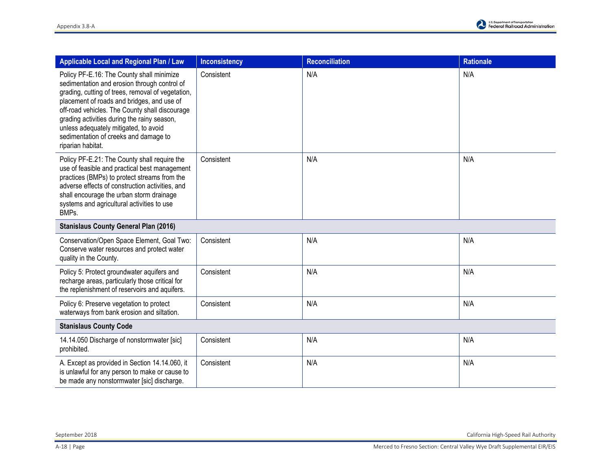| Applicable Local and Regional Plan / Law                                                                                                                                                                                                                                                                                                                                                             | <b>Inconsistency</b> | <b>Reconciliation</b> | <b>Rationale</b> |
|------------------------------------------------------------------------------------------------------------------------------------------------------------------------------------------------------------------------------------------------------------------------------------------------------------------------------------------------------------------------------------------------------|----------------------|-----------------------|------------------|
| Policy PF-E.16: The County shall minimize<br>sedimentation and erosion through control of<br>grading, cutting of trees, removal of vegetation,<br>placement of roads and bridges, and use of<br>off-road vehicles. The County shall discourage<br>grading activities during the rainy season,<br>unless adequately mitigated, to avoid<br>sedimentation of creeks and damage to<br>riparian habitat. | Consistent           | N/A                   | N/A              |
| Policy PF-E.21: The County shall require the<br>use of feasible and practical best management<br>practices (BMPs) to protect streams from the<br>adverse effects of construction activities, and<br>shall encourage the urban storm drainage<br>systems and agricultural activities to use<br>BMPs.                                                                                                  | Consistent           | N/A                   | N/A              |
| <b>Stanislaus County General Plan (2016)</b>                                                                                                                                                                                                                                                                                                                                                         |                      |                       |                  |
| Conservation/Open Space Element, Goal Two:<br>Conserve water resources and protect water<br>quality in the County.                                                                                                                                                                                                                                                                                   | Consistent           | N/A                   | N/A              |
| Policy 5: Protect groundwater aquifers and<br>recharge areas, particularly those critical for<br>the replenishment of reservoirs and aquifers.                                                                                                                                                                                                                                                       | Consistent           | N/A                   | N/A              |
| Policy 6: Preserve vegetation to protect<br>waterways from bank erosion and siltation.                                                                                                                                                                                                                                                                                                               | Consistent           | N/A                   | N/A              |
| <b>Stanislaus County Code</b>                                                                                                                                                                                                                                                                                                                                                                        |                      |                       |                  |
| 14.14.050 Discharge of nonstormwater [sic]<br>prohibited.                                                                                                                                                                                                                                                                                                                                            | Consistent           | N/A                   | N/A              |
| A. Except as provided in Section 14.14.060, it<br>is unlawful for any person to make or cause to<br>be made any nonstormwater [sic] discharge.                                                                                                                                                                                                                                                       | Consistent           | N/A                   | N/A              |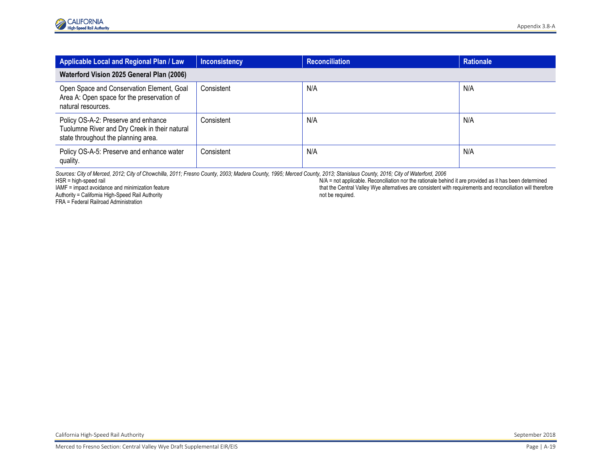| Applicable Local and Regional Plan / Law                                                                                    | <b>Inconsistency</b> | <b>Reconciliation</b> | <b>Rationale</b> |
|-----------------------------------------------------------------------------------------------------------------------------|----------------------|-----------------------|------------------|
| Waterford Vision 2025 General Plan (2006)                                                                                   |                      |                       |                  |
| Open Space and Conservation Element, Goal<br>Area A: Open space for the preservation of<br>natural resources.               | Consistent           | N/A                   | N/A              |
| Policy OS-A-2: Preserve and enhance<br>Tuolumne River and Dry Creek in their natural<br>state throughout the planning area. | Consistent           | N/A                   | N/A              |
| Policy OS-A-5: Preserve and enhance water<br>quality.                                                                       | Consistent           | N/A                   | N/A              |

*Sources: City of Merced, 2012; City of Chowchilla, 2011; Fresno County, 2003; Madera County, 1995; Merced County, 2013; Stanislaus County, 2016; City of Waterford, 2006*

HSR = high-speed rail

IAMF = impact avoidance and minimization feature Authority = California High-Speed Rail Authority

FRA = Federal Railroad Administration

N/A = not applicable. Reconciliation nor the rationale behind it are provided as it has been determined that the Central Valley Wye alternatives are consistent with requirements and reconciliation will therefore not be required.